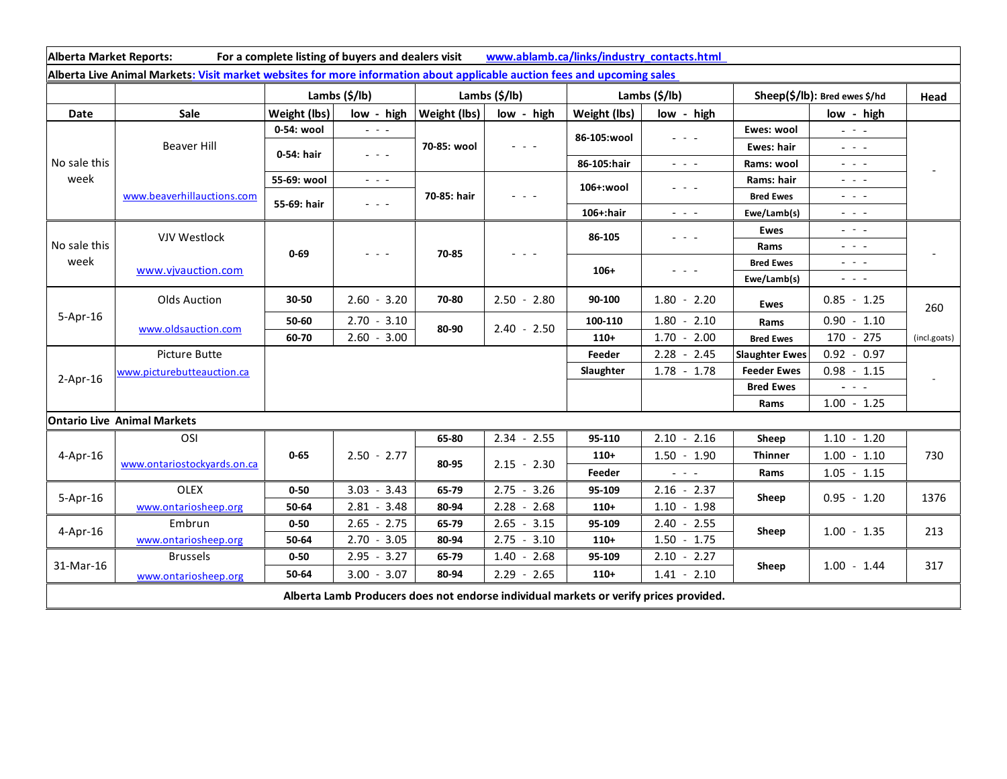| <b>Alberta Market Reports:</b><br>For a complete listing of buyers and dealers visit<br>www.ablamb.ca/links/industry_contacts.html |                             |                           |                                                                                                                           |                     |                                                                                                                           |                              |                 |                               |                                                                                                |              |
|------------------------------------------------------------------------------------------------------------------------------------|-----------------------------|---------------------------|---------------------------------------------------------------------------------------------------------------------------|---------------------|---------------------------------------------------------------------------------------------------------------------------|------------------------------|-----------------|-------------------------------|------------------------------------------------------------------------------------------------|--------------|
| Alberta Live Animal Markets: Visit market websites for more information about applicable auction fees and upcoming sales           |                             |                           |                                                                                                                           |                     |                                                                                                                           |                              |                 |                               |                                                                                                |              |
|                                                                                                                                    |                             | Lambs $(\frac{2}{3})$ lb) |                                                                                                                           | Lambs (\$/lb)       |                                                                                                                           | Lambs $(\frac{\xi}{\theta})$ |                 | Sheep(\$/lb): Bred ewes \$/hd |                                                                                                | Head         |
| Date                                                                                                                               | Sale                        | Weight (lbs)              | low - high                                                                                                                | <b>Weight (lbs)</b> | low - high                                                                                                                | Weight (lbs)                 | low - high      |                               | low - high                                                                                     |              |
| No sale this<br>week                                                                                                               | <b>Beaver Hill</b>          | 0-54: wool                | 20202                                                                                                                     | 70-85: wool         | $\frac{1}{2} \left( \frac{1}{2} \right) \left( \frac{1}{2} \right) \left( \frac{1}{2} \right) \left( \frac{1}{2} \right)$ | 86-105:wool                  | $  -$           | Ewes: wool                    | $\omega_{\rm c} \sim \omega_{\rm c}$                                                           |              |
|                                                                                                                                    |                             | 0-54: hair                | $  -$                                                                                                                     |                     |                                                                                                                           |                              |                 | Ewes: hair                    | $\omega_{\rm{eff}}=0.1$                                                                        |              |
|                                                                                                                                    |                             |                           |                                                                                                                           |                     |                                                                                                                           | 86-105:hair                  | $ -$            | Rams: wool                    | $\frac{1}{2} \left( \frac{1}{2} \right) = \frac{1}{2} \left( \frac{1}{2} \right)$              |              |
|                                                                                                                                    | www.beaverhillauctions.com  | 55-69: wool               | $\frac{1}{2} \left( \frac{1}{2} \right) = \frac{1}{2} \left( \frac{1}{2} \right)$                                         | 70-85: hair         | $- - - -$                                                                                                                 | 106+:wool                    | $  -$           | Rams: hair                    | $\frac{1}{2} \left( \frac{1}{2} \right) = \frac{1}{2} \left( \frac{1}{2} \right)$              |              |
|                                                                                                                                    |                             | 55-69: hair               | $\frac{1}{2} \left( \frac{1}{2} \right) \left( \frac{1}{2} \right) \left( \frac{1}{2} \right) \left( \frac{1}{2} \right)$ |                     |                                                                                                                           |                              |                 | <b>Bred Ewes</b>              | $\frac{1}{2} \left( \frac{1}{2} \right) = \frac{1}{2} \left( \frac{1}{2} \right)$              |              |
|                                                                                                                                    |                             |                           |                                                                                                                           |                     |                                                                                                                           | 106+:hair                    | $  -$           | Ewe/Lamb(s)                   | $\frac{1}{2} \left( \frac{1}{2} \right) \left( \frac{1}{2} \right) \left( \frac{1}{2} \right)$ |              |
| No sale this<br>week                                                                                                               | VJV Westlock                | $0 - 69$                  | $  -$                                                                                                                     | 70-85               | - - -                                                                                                                     | 86-105                       | $  -$           | <b>Ewes</b>                   | $\frac{1}{2} \left( \frac{1}{2} \right) = \frac{1}{2} \left( \frac{1}{2} \right)$              |              |
|                                                                                                                                    |                             |                           |                                                                                                                           |                     |                                                                                                                           |                              |                 | Rams                          | $\frac{1}{2} \left( \frac{1}{2} \right) = \frac{1}{2} \left( \frac{1}{2} \right)$              |              |
|                                                                                                                                    | www.vjvauction.com          |                           |                                                                                                                           |                     |                                                                                                                           | $106+$                       | - - -           | <b>Bred Ewes</b>              | $\frac{1}{2} \left( \frac{1}{2} \right) = \frac{1}{2} \left( \frac{1}{2} \right)$              |              |
|                                                                                                                                    |                             |                           |                                                                                                                           |                     |                                                                                                                           |                              |                 | Ewe/Lamb(s)                   | $\frac{1}{2} \left( \frac{1}{2} \right) \left( \frac{1}{2} \right) \left( \frac{1}{2} \right)$ |              |
| $5-Apr-16$                                                                                                                         | <b>Olds Auction</b>         | 30-50                     | $2.60 - 3.20$                                                                                                             | 70-80               | $2.50 - 2.80$                                                                                                             | 90-100                       | $1.80 - 2.20$   | <b>Ewes</b>                   | $0.85 - 1.25$                                                                                  | 260          |
|                                                                                                                                    | www.oldsauction.com         | 50-60                     | $2.70 - 3.10$                                                                                                             | 80-90               | $2.40 - 2.50$                                                                                                             | 100-110                      | $1.80 - 2.10$   | Rams                          | $0.90 - 1.10$                                                                                  |              |
|                                                                                                                                    |                             | 60-70                     | $2.60 - 3.00$                                                                                                             |                     |                                                                                                                           | $110+$                       | $-2.00$<br>1.70 | <b>Bred Ewes</b>              | $170 - 275$                                                                                    | (incl.goats) |
| $2-Apr-16$                                                                                                                         | <b>Picture Butte</b>        |                           |                                                                                                                           |                     |                                                                                                                           | Feeder                       | $2.28 - 2.45$   | <b>Slaughter Ewes</b>         | $0.92 - 0.97$                                                                                  |              |
|                                                                                                                                    | www.picturebutteauction.ca  |                           |                                                                                                                           |                     |                                                                                                                           | Slaughter                    | $1.78 - 1.78$   | <b>Feeder Ewes</b>            | $0.98 - 1.15$                                                                                  |              |
|                                                                                                                                    |                             |                           |                                                                                                                           |                     |                                                                                                                           |                              |                 | <b>Bred Ewes</b>              | $\sim$ $\sim$ $\sim$                                                                           |              |
|                                                                                                                                    |                             |                           |                                                                                                                           |                     |                                                                                                                           |                              |                 | Rams                          | $1.00 - 1.25$                                                                                  |              |
| <b>Ontario Live Animal Markets</b>                                                                                                 |                             |                           |                                                                                                                           |                     |                                                                                                                           |                              |                 |                               |                                                                                                |              |
| $4-Apr-16$                                                                                                                         | OSI                         | $0 - 65$                  | $2.50 - 2.77$                                                                                                             | 65-80               | $2.34 - 2.55$                                                                                                             | 95-110                       | $2.10 - 2.16$   | Sheep                         | $1.10 - 1.20$                                                                                  |              |
|                                                                                                                                    | www.ontariostockyards.on.ca |                           |                                                                                                                           | 80-95               | $2.15 - 2.30$                                                                                                             | $110+$                       | $1.50 - 1.90$   | <b>Thinner</b>                | $1.00 - 1.10$                                                                                  | 730          |
|                                                                                                                                    |                             |                           |                                                                                                                           |                     |                                                                                                                           | Feeder                       | $ -$            | Rams                          | $1.05 - 1.15$                                                                                  |              |
| $5-Apr-16$                                                                                                                         | <b>OLEX</b>                 | $0 - 50$                  | $3.03 - 3.43$                                                                                                             | 65-79               | $2.75 - 3.26$                                                                                                             | 95-109                       | $2.16 - 2.37$   | Sheep                         | $0.95 - 1.20$                                                                                  | 1376         |
|                                                                                                                                    | www.ontariosheep.org        | 50-64                     | $2.81 - 3.48$                                                                                                             | 80-94               | $2.28 - 2.68$                                                                                                             | $110+$                       | $1.10 - 1.98$   |                               |                                                                                                |              |
| $4$ -Apr-16                                                                                                                        | Embrun                      | $0 - 50$                  | $2.65 - 2.75$                                                                                                             | 65-79               | $2.65 - 3.15$                                                                                                             | 95-109                       | $2.40 - 2.55$   | Sheep                         | $1.00 - 1.35$                                                                                  | 213          |
|                                                                                                                                    | www.ontariosheep.org        | 50-64                     | $2.70 - 3.05$                                                                                                             | 80-94               | $2.75 - 3.10$                                                                                                             | $110+$                       | $1.50 - 1.75$   |                               |                                                                                                |              |
| 31-Mar-16                                                                                                                          | <b>Brussels</b>             | $0 - 50$                  | $2.95 - 3.27$                                                                                                             | 65-79               | $1.40 - 2.68$                                                                                                             | 95-109                       | $2.10 - 2.27$   | Sheep                         | $1.00 - 1.44$                                                                                  | 317          |
|                                                                                                                                    | www.ontariosheep.org        | 50-64                     | $3.00 - 3.07$                                                                                                             | 80-94               | $2.29 - 2.65$                                                                                                             | $110+$                       | $1.41 - 2.10$   |                               |                                                                                                |              |
| Alberta Lamb Producers does not endorse individual markets or verify prices provided.                                              |                             |                           |                                                                                                                           |                     |                                                                                                                           |                              |                 |                               |                                                                                                |              |